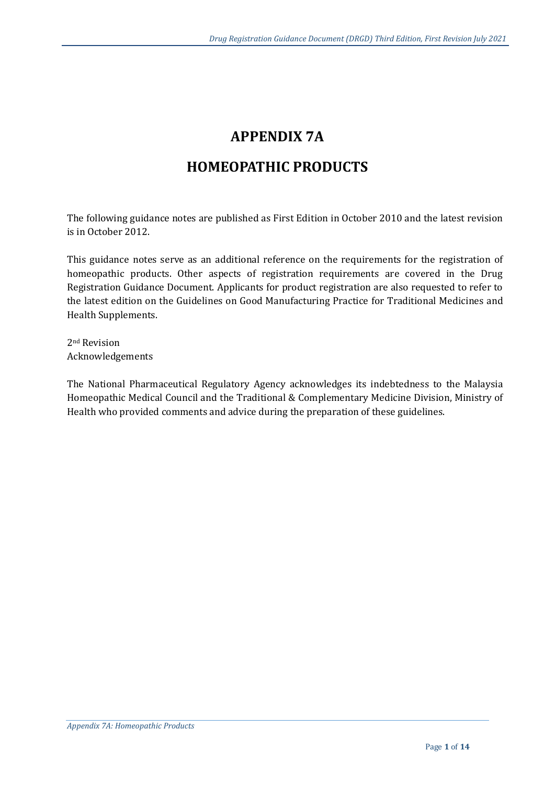# **APPENDIX 7A**

# **HOMEOPATHIC PRODUCTS**

The following guidance notes are published as First Edition in October 2010 and the latest revision is in October 2012.

This guidance notes serve as an additional reference on the requirements for the registration of homeopathic products. Other aspects of registration requirements are covered in the Drug Registration Guidance Document. Applicants for product registration are also requested to refer to the latest edition on the Guidelines on Good Manufacturing Practice for Traditional Medicines and Health Supplements.

2nd Revision Acknowledgements

The National Pharmaceutical Regulatory Agency acknowledges its indebtedness to the Malaysia Homeopathic Medical Council and the Traditional & Complementary Medicine Division, Ministry of Health who provided comments and advice during the preparation of these guidelines.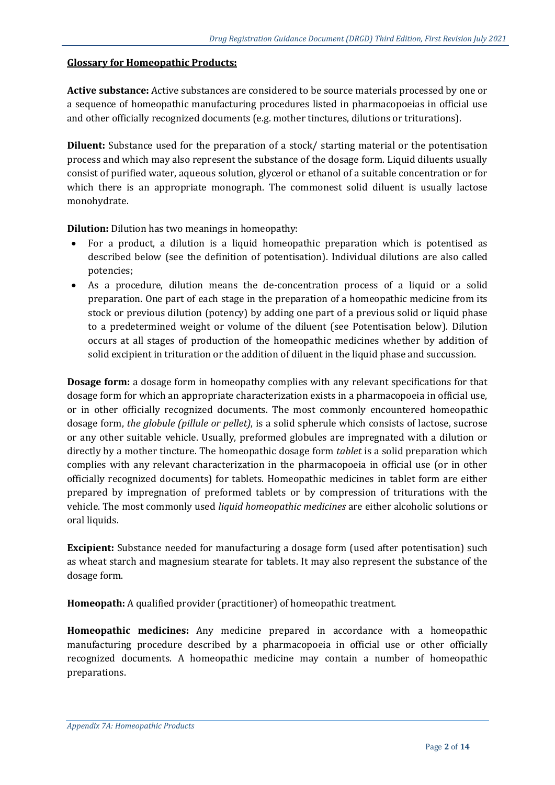#### **Glossary for Homeopathic Products:**

**Active substance:** Active substances are considered to be source materials processed by one or a sequence of homeopathic manufacturing procedures listed in pharmacopoeias in official use and other officially recognized documents (e.g. mother tinctures, dilutions or triturations).

**Diluent:** Substance used for the preparation of a stock/ starting material or the potentisation process and which may also represent the substance of the dosage form. Liquid diluents usually consist of purified water, aqueous solution, glycerol or ethanol of a suitable concentration or for which there is an appropriate monograph. The commonest solid diluent is usually lactose monohydrate.

**Dilution:** Dilution has two meanings in homeopathy:

- For a product, a dilution is a liquid homeopathic preparation which is potentised as described below (see the definition of potentisation). Individual dilutions are also called potencies;
- As a procedure, dilution means the de-concentration process of a liquid or a solid preparation. One part of each stage in the preparation of a homeopathic medicine from its stock or previous dilution (potency) by adding one part of a previous solid or liquid phase to a predetermined weight or volume of the diluent (see Potentisation below). Dilution occurs at all stages of production of the homeopathic medicines whether by addition of solid excipient in trituration or the addition of diluent in the liquid phase and succussion.

**Dosage form:** a dosage form in homeopathy complies with any relevant specifications for that dosage form for which an appropriate characterization exists in a pharmacopoeia in official use, or in other officially recognized documents. The most commonly encountered homeopathic dosage form, *the globule (pillule or pellet)*, is a solid spherule which consists of lactose, sucrose or any other suitable vehicle. Usually, preformed globules are impregnated with a dilution or directly by a mother tincture. The homeopathic dosage form *tablet* is a solid preparation which complies with any relevant characterization in the pharmacopoeia in official use (or in other officially recognized documents) for tablets. Homeopathic medicines in tablet form are either prepared by impregnation of preformed tablets or by compression of triturations with the vehicle. The most commonly used *liquid homeopathic medicines* are either alcoholic solutions or oral liquids.

**Excipient:** Substance needed for manufacturing a dosage form (used after potentisation) such as wheat starch and magnesium stearate for tablets. It may also represent the substance of the dosage form.

**Homeopath:** A qualified provider (practitioner) of homeopathic treatment.

**Homeopathic medicines:** Any medicine prepared in accordance with a homeopathic manufacturing procedure described by a pharmacopoeia in official use or other officially recognized documents. A homeopathic medicine may contain a number of homeopathic preparations.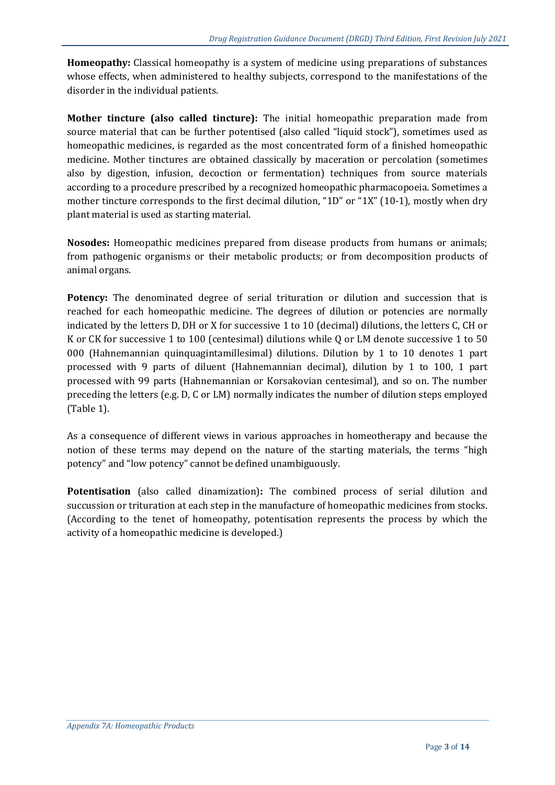**Homeopathy:** Classical homeopathy is a system of medicine using preparations of substances whose effects, when administered to healthy subjects, correspond to the manifestations of the disorder in the individual patients.

**Mother tincture (also called tincture):** The initial homeopathic preparation made from source material that can be further potentised (also called "liquid stock"), sometimes used as homeopathic medicines, is regarded as the most concentrated form of a finished homeopathic medicine. Mother tinctures are obtained classically by maceration or percolation (sometimes also by digestion, infusion, decoction or fermentation) techniques from source materials according to a procedure prescribed by a recognized homeopathic pharmacopoeia. Sometimes a mother tincture corresponds to the first decimal dilution, "1D" or "1X" (10-1), mostly when dry plant material is used as starting material.

**Nosodes:** Homeopathic medicines prepared from disease products from humans or animals; from pathogenic organisms or their metabolic products; or from decomposition products of animal organs.

**Potency:** The denominated degree of serial trituration or dilution and succession that is reached for each homeopathic medicine. The degrees of dilution or potencies are normally indicated by the letters D, DH or X for successive 1 to 10 (decimal) dilutions, the letters C, CH or K or CK for successive 1 to 100 (centesimal) dilutions while Q or LM denote successive 1 to 50 000 (Hahnemannian quinquagintamillesimal) dilutions. Dilution by 1 to 10 denotes 1 part processed with 9 parts of diluent (Hahnemannian decimal), dilution by 1 to 100, 1 part processed with 99 parts (Hahnemannian or Korsakovian centesimal), and so on. The number preceding the letters (e.g. D, C or LM) normally indicates the number of dilution steps employed (Table 1).

As a consequence of different views in various approaches in homeotherapy and because the notion of these terms may depend on the nature of the starting materials, the terms "high potency" and "low potency" cannot be defined unambiguously.

**Potentisation** (also called dinamization)**:** The combined process of serial dilution and succussion or trituration at each step in the manufacture of homeopathic medicines from stocks. (According to the tenet of homeopathy, potentisation represents the process by which the activity of a homeopathic medicine is developed.)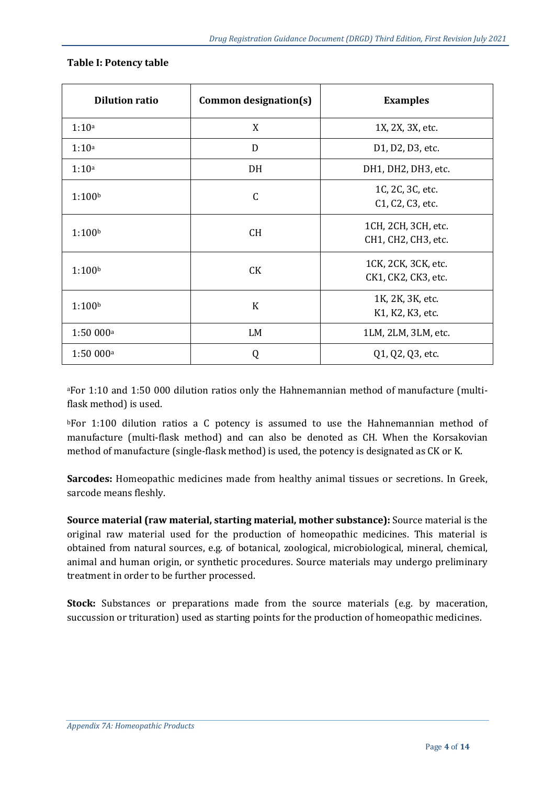| <b>Dilution ratio</b> | Common designation(s) | <b>Examples</b>                                                             |
|-----------------------|-----------------------|-----------------------------------------------------------------------------|
| 1:10a                 | X                     | 1X, 2X, 3X, etc.                                                            |
| 1:10a                 | D                     | D1, D2, D3, etc.                                                            |
| 1:10a                 | DH                    | DH1, DH2, DH3, etc.                                                         |
| 1:100 <sup>b</sup>    | $\mathsf C$           | 1C, 2C, 3C, etc.<br>C <sub>1</sub> , C <sub>2</sub> , C <sub>3</sub> , etc. |
| 1:100 <sup>b</sup>    | <b>CH</b>             | 1CH, 2CH, 3CH, etc.<br>CH1, CH2, CH3, etc.                                  |
| 1:100 <sup>b</sup>    | CK                    | 1CK, 2CK, 3CK, etc.<br>CK1, CK2, CK3, etc.                                  |
| 1:100 <sup>b</sup>    | $\bf K$               | 1K, 2K, 3K, etc.<br>K1, K2, K3, etc.                                        |
| 1:50000a              | LM                    | 1LM, 2LM, 3LM, etc.                                                         |
| 1:50 000 <sup>a</sup> | Q                     | Q1, Q2, Q3, etc.                                                            |

#### **Table I: Potency table**

<sup>a</sup>For 1:10 and 1:50 000 dilution ratios only the Hahnemannian method of manufacture (multiflask method) is used.

**bFor 1:100 dilution ratios a C potency is assumed to use the Hahnemannian method of** manufacture (multi-flask method) and can also be denoted as CH. When the Korsakovian method of manufacture (single-flask method) is used, the potency is designated as CK or K.

**Sarcodes:** Homeopathic medicines made from healthy animal tissues or secretions. In Greek, sarcode means fleshly.

**Source material (raw material, starting material, mother substance):** Source material is the original raw material used for the production of homeopathic medicines. This material is obtained from natural sources, e.g. of botanical, zoological, microbiological, mineral, chemical, animal and human origin, or synthetic procedures. Source materials may undergo preliminary treatment in order to be further processed.

**Stock:** Substances or preparations made from the source materials (e.g. by maceration, succussion or trituration) used as starting points for the production of homeopathic medicines.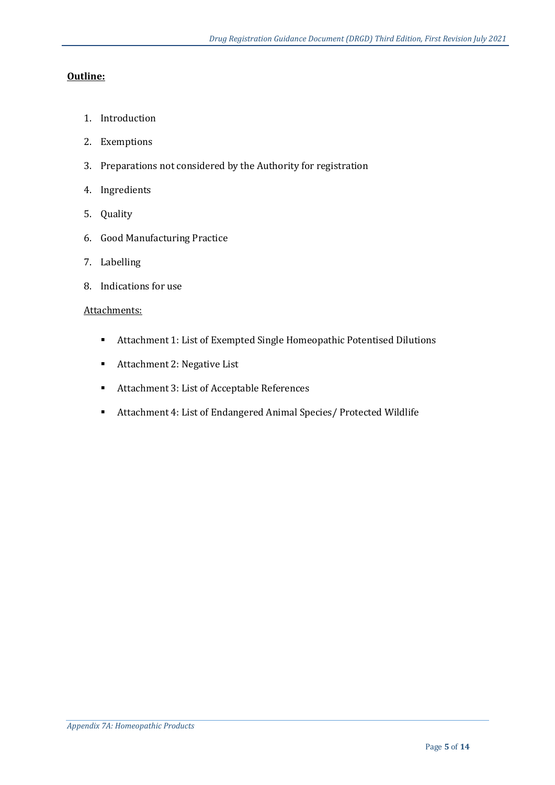#### **Outline:**

- 1. Introduction
- 2. Exemptions
- 3. Preparations not considered by the Authority for registration
- 4. Ingredients
- 5. Quality
- 6. Good Manufacturing Practice
- 7. Labelling
- 8. Indications for use

#### Attachments:

- Attachment 1: List of Exempted Single Homeopathic Potentised Dilutions
- Attachment 2: Negative List
- Attachment 3: List of Acceptable References
- Attachment 4: List of Endangered Animal Species/ Protected Wildlife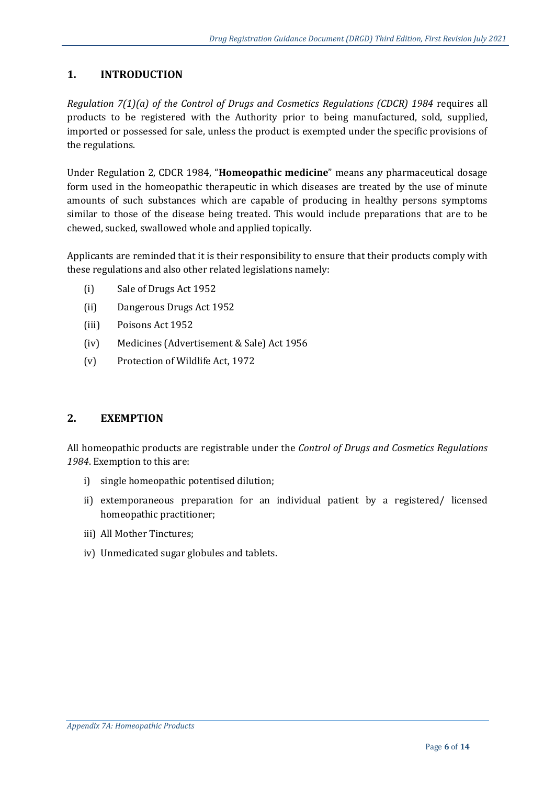# **1. INTRODUCTION**

*Regulation 7(1)(a) of the Control of Drugs and Cosmetics Regulations (CDCR) 1984* requires all products to be registered with the Authority prior to being manufactured, sold, supplied, imported or possessed for sale, unless the product is exempted under the specific provisions of the regulations.

Under Regulation 2, CDCR 1984, "**Homeopathic medicine**" means any pharmaceutical dosage form used in the homeopathic therapeutic in which diseases are treated by the use of minute amounts of such substances which are capable of producing in healthy persons symptoms similar to those of the disease being treated. This would include preparations that are to be chewed, sucked, swallowed whole and applied topically.

Applicants are reminded that it is their responsibility to ensure that their products comply with these regulations and also other related legislations namely:

- (i) Sale of Drugs Act 1952
- (ii) Dangerous Drugs Act 1952
- (iii) Poisons Act 1952
- (iv) Medicines (Advertisement & Sale) Act 1956
- (v) Protection of Wildlife Act, 1972

#### **2. EXEMPTION**

All homeopathic products are registrable under the *Control of Drugs and Cosmetics Regulations 1984*. Exemption to this are:

- i) single homeopathic potentised dilution;
- ii) extemporaneous preparation for an individual patient by a registered/ licensed homeopathic practitioner;
- iii) All Mother Tinctures;
- iv) Unmedicated sugar globules and tablets.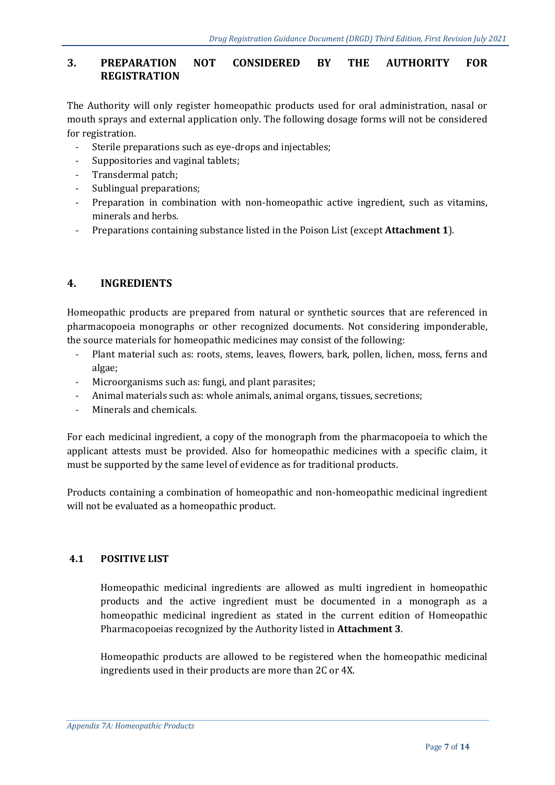# **3. PREPARATION NOT CONSIDERED BY THE AUTHORITY FOR REGISTRATION**

The Authority will only register homeopathic products used for oral administration, nasal or mouth sprays and external application only. The following dosage forms will not be considered for registration.

- Sterile preparations such as eye-drops and injectables;
- Suppositories and vaginal tablets;
- Transdermal patch;
- Sublingual preparations;
- Preparation in combination with non-homeopathic active ingredient, such as vitamins, minerals and herbs.
- Preparations containing substance listed in the Poison List (except **Attachment 1**).

# **4. INGREDIENTS**

Homeopathic products are prepared from natural or synthetic sources that are referenced in pharmacopoeia monographs or other recognized documents. Not considering imponderable, the source materials for homeopathic medicines may consist of the following:

- Plant material such as: roots, stems, leaves, flowers, bark, pollen, lichen, moss, ferns and algae;
- Microorganisms such as: fungi, and plant parasites;
- Animal materials such as: whole animals, animal organs, tissues, secretions;
- Minerals and chemicals.

For each medicinal ingredient, a copy of the monograph from the pharmacopoeia to which the applicant attests must be provided. Also for homeopathic medicines with a specific claim, it must be supported by the same level of evidence as for traditional products.

Products containing a combination of homeopathic and non-homeopathic medicinal ingredient will not be evaluated as a homeopathic product.

#### **4.1 POSITIVE LIST**

Homeopathic medicinal ingredients are allowed as multi ingredient in homeopathic products and the active ingredient must be documented in a monograph as a homeopathic medicinal ingredient as stated in the current edition of Homeopathic Pharmacopoeias recognized by the Authority listed in **Attachment 3**.

Homeopathic products are allowed to be registered when the homeopathic medicinal ingredients used in their products are more than 2C or 4X.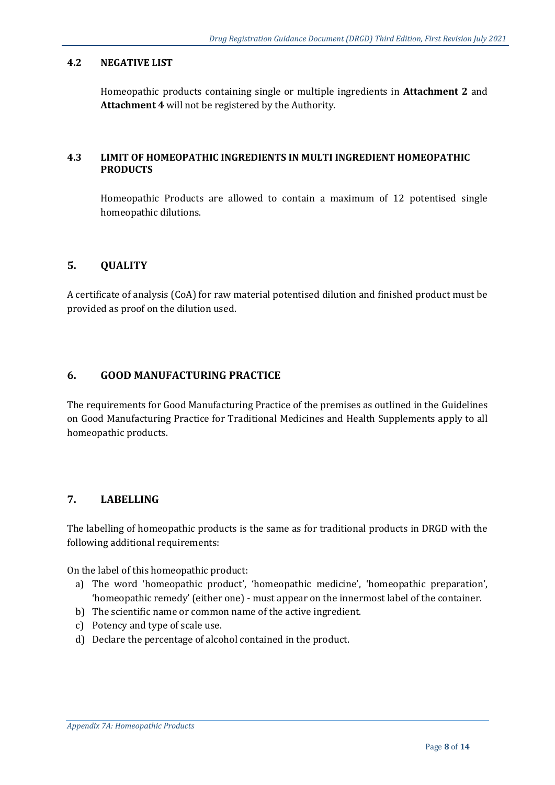#### **4.2 NEGATIVE LIST**

Homeopathic products containing single or multiple ingredients in **Attachment 2** and **Attachment 4** will not be registered by the Authority.

#### **4.3 LIMIT OF HOMEOPATHIC INGREDIENTS IN MULTI INGREDIENT HOMEOPATHIC PRODUCTS**

Homeopathic Products are allowed to contain a maximum of 12 potentised single homeopathic dilutions.

# **5. QUALITY**

A certificate of analysis (CoA) for raw material potentised dilution and finished product must be provided as proof on the dilution used.

#### **6. GOOD MANUFACTURING PRACTICE**

The requirements for Good Manufacturing Practice of the premises as outlined in the Guidelines on Good Manufacturing Practice for Traditional Medicines and Health Supplements apply to all homeopathic products.

#### **7. LABELLING**

The labelling of homeopathic products is the same as for traditional products in DRGD with the following additional requirements:

On the label of this homeopathic product:

- a) The word 'homeopathic product', 'homeopathic medicine', 'homeopathic preparation', 'homeopathic remedy' (either one) - must appear on the innermost label of the container.
- b) The scientific name or common name of the active ingredient.
- c) Potency and type of scale use.
- d) Declare the percentage of alcohol contained in the product.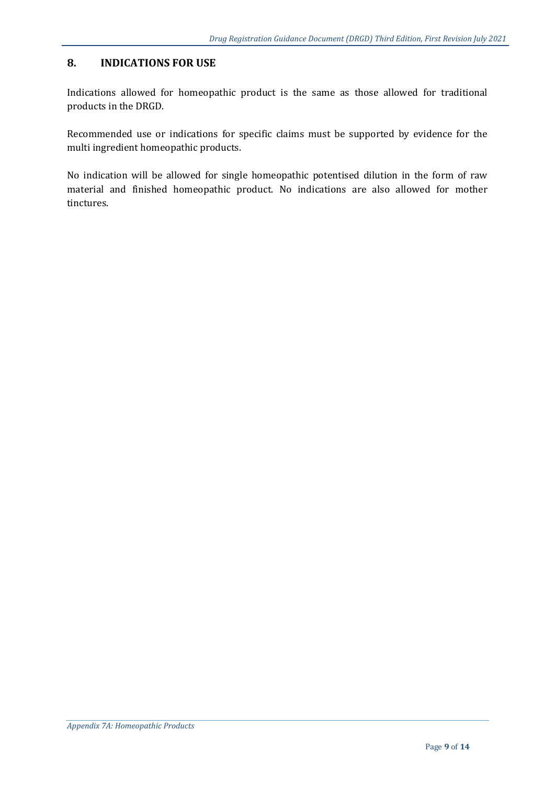# **8. INDICATIONS FOR USE**

Indications allowed for homeopathic product is the same as those allowed for traditional products in the DRGD.

Recommended use or indications for specific claims must be supported by evidence for the multi ingredient homeopathic products.

No indication will be allowed for single homeopathic potentised dilution in the form of raw material and finished homeopathic product. No indications are also allowed for mother tinctures.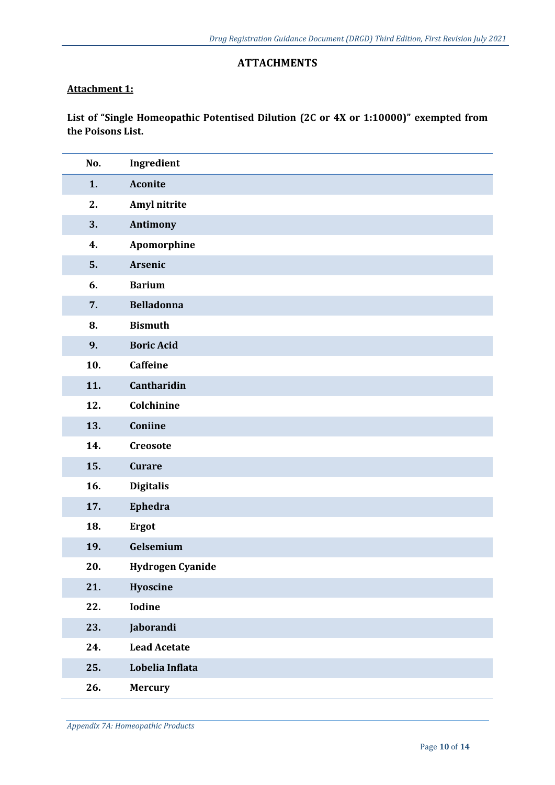# **ATTACHMENTS**

# **Attachment 1:**

**List of "Single Homeopathic Potentised Dilution (2C or 4X or 1:10000)" exempted from the Poisons List.** 

| No. | Ingredient              |
|-----|-------------------------|
| 1.  | <b>Aconite</b>          |
| 2.  | Amyl nitrite            |
| 3.  | Antimony                |
| 4.  | Apomorphine             |
| 5.  | Arsenic                 |
| 6.  | <b>Barium</b>           |
| 7.  | <b>Belladonna</b>       |
| 8.  | <b>Bismuth</b>          |
| 9.  | <b>Boric Acid</b>       |
| 10. | <b>Caffeine</b>         |
| 11. | Cantharidin             |
| 12. | Colchinine              |
| 13. | Coniine                 |
| 14. | Creosote                |
| 15. | <b>Curare</b>           |
| 16. | <b>Digitalis</b>        |
| 17. | Ephedra                 |
| 18. | <b>Ergot</b>            |
| 19. | Gelsemium               |
| 20. | <b>Hydrogen Cyanide</b> |
| 21. | Hyoscine                |
| 22. | Iodine                  |
| 23. | Jaborandi               |
| 24. | <b>Lead Acetate</b>     |
| 25. | Lobelia Inflata         |
| 26. | <b>Mercury</b>          |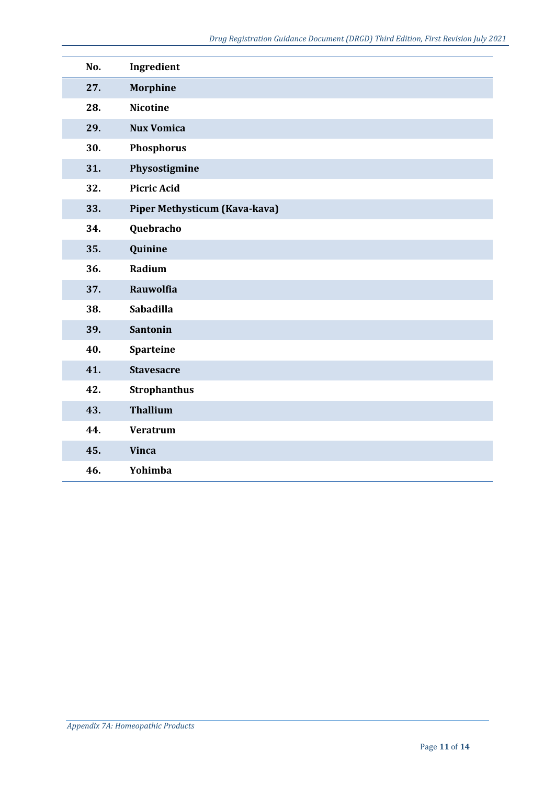| No. | Ingredient                    |
|-----|-------------------------------|
| 27. | <b>Morphine</b>               |
| 28. | <b>Nicotine</b>               |
| 29. | <b>Nux Vomica</b>             |
| 30. | Phosphorus                    |
| 31. | Physostigmine                 |
| 32. | <b>Picric Acid</b>            |
| 33. | Piper Methysticum (Kava-kava) |
| 34. | Quebracho                     |
| 35. | Quinine                       |
| 36. | Radium                        |
| 37. | <b>Rauwolfia</b>              |
| 38. | <b>Sabadilla</b>              |
| 39. | <b>Santonin</b>               |
| 40. | <b>Sparteine</b>              |
| 41. | <b>Stavesacre</b>             |
| 42. | <b>Strophanthus</b>           |
| 43. | <b>Thallium</b>               |
| 44. | <b>Veratrum</b>               |
| 45. | <b>Vinca</b>                  |
| 46. | Yohimba                       |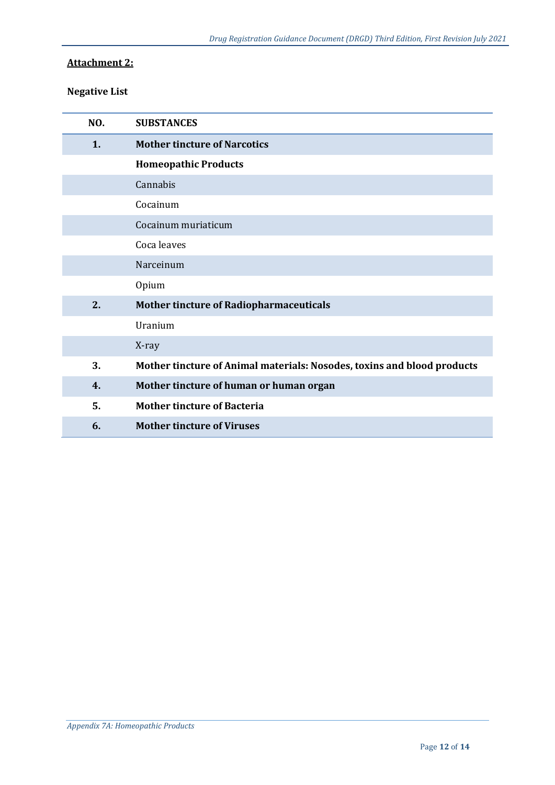# **Attachment 2:**

# **Negative List**

| NO. | <b>SUBSTANCES</b>                                                       |
|-----|-------------------------------------------------------------------------|
| 1.  | <b>Mother tincture of Narcotics</b>                                     |
|     | <b>Homeopathic Products</b>                                             |
|     | Cannabis                                                                |
|     | Cocainum                                                                |
|     | Cocainum muriaticum                                                     |
|     | Coca leaves                                                             |
|     | Narceinum                                                               |
|     | Opium                                                                   |
| 2.  | <b>Mother tincture of Radiopharmaceuticals</b>                          |
|     | Uranium                                                                 |
|     | X-ray                                                                   |
| 3.  | Mother tincture of Animal materials: Nosodes, toxins and blood products |
| 4.  | Mother tincture of human or human organ                                 |
| 5.  | <b>Mother tincture of Bacteria</b>                                      |
| 6.  | <b>Mother tincture of Viruses</b>                                       |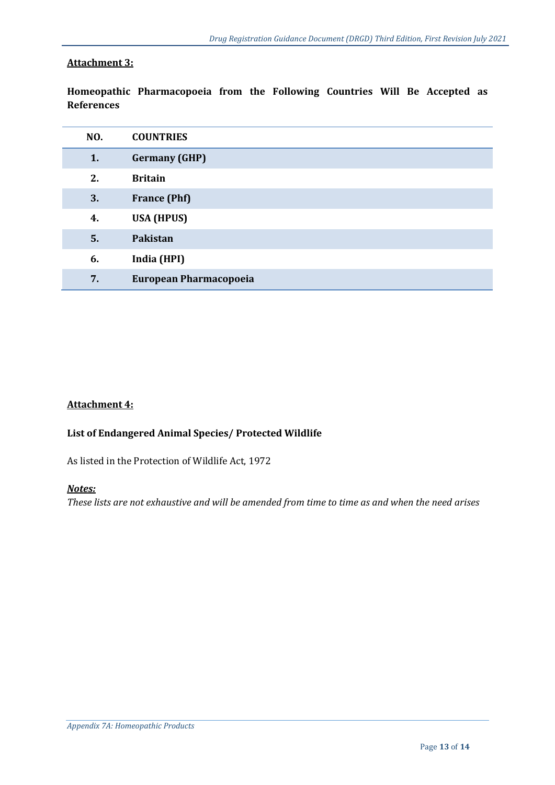# **Attachment 3:**

**Homeopathic Pharmacopoeia from the Following Countries Will Be Accepted as References**

| NO. | <b>COUNTRIES</b>       |
|-----|------------------------|
| 1.  | <b>Germany (GHP)</b>   |
| 2.  | <b>Britain</b>         |
| 3.  | <b>France (Phf)</b>    |
| 4.  | <b>USA (HPUS)</b>      |
| 5.  | Pakistan               |
| 6.  | India (HPI)            |
| 7.  | European Pharmacopoeia |

# **Attachment 4:**

#### **List of Endangered Animal Species/ Protected Wildlife**

As listed in the Protection of Wildlife Act, 1972

# *Notes:*

*These lists are not exhaustive and will be amended from time to time as and when the need arises*